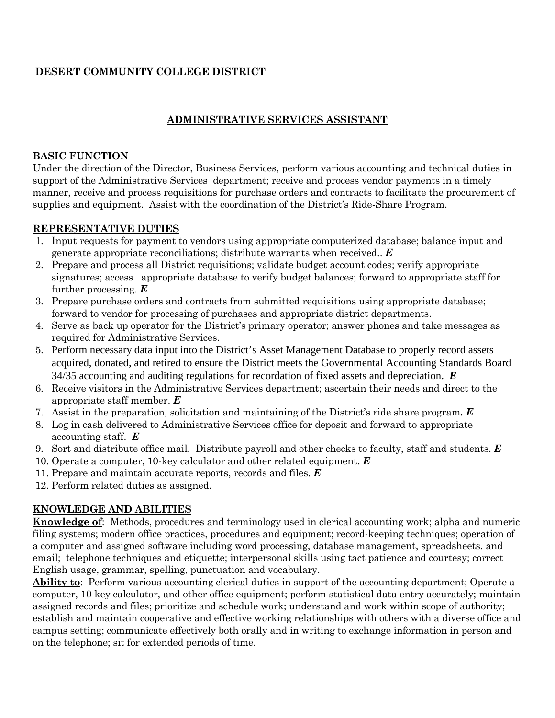# **DESERT COMMUNITY COLLEGE DISTRICT**

# **ADMINISTRATIVE SERVICES ASSISTANT**

## **BASIC FUNCTION**

Under the direction of the Director, Business Services, perform various accounting and technical duties in support of the Administrative Services department; receive and process vendor payments in a timely manner, receive and process requisitions for purchase orders and contracts to facilitate the procurement of supplies and equipment. Assist with the coordination of the District's Ride-Share Program.

#### **REPRESENTATIVE DUTIES**

- 1. Input requests for payment to vendors using appropriate computerized database; balance input and generate appropriate reconciliations; distribute warrants when received.. *E*
- 2. Prepare and process all District requisitions; validate budget account codes; verify appropriate signatures; access appropriate database to verify budget balances; forward to appropriate staff for further processing. *E*
- 3. Prepare purchase orders and contracts from submitted requisitions using appropriate database; forward to vendor for processing of purchases and appropriate district departments.
- 4. Serve as back up operator for the District's primary operator; answer phones and take messages as required for Administrative Services.
- 5. Perform necessary data input into the District's Asset Management Database to properly record assets acquired, donated, and retired to ensure the District meets the Governmental Accounting Standards Board 34/35 accounting and auditing regulations for recordation of fixed assets and depreciation. *E*
- 6. Receive visitors in the Administrative Services department; ascertain their needs and direct to the appropriate staff member. *E*
- 7. Assist in the preparation, solicitation and maintaining of the District's ride share program*. E*
- 8. Log in cash delivered to Administrative Services office for deposit and forward to appropriate accounting staff. *E*
- 9. Sort and distribute office mail. Distribute payroll and other checks to faculty, staff and students. *E*
- 10. Operate a computer, 10-key calculator and other related equipment. *E*
- 11. Prepare and maintain accurate reports, records and files. *E*
- 12. Perform related duties as assigned.

# **KNOWLEDGE AND ABILITIES**

**Knowledge of**: Methods, procedures and terminology used in clerical accounting work; alpha and numeric filing systems; modern office practices, procedures and equipment; record-keeping techniques; operation of a computer and assigned software including word processing, database management, spreadsheets, and email; telephone techniques and etiquette; interpersonal skills using tact patience and courtesy; correct English usage, grammar, spelling, punctuation and vocabulary.

**Ability to**: Perform various accounting clerical duties in support of the accounting department; Operate a computer, 10 key calculator, and other office equipment; perform statistical data entry accurately; maintain assigned records and files; prioritize and schedule work; understand and work within scope of authority; establish and maintain cooperative and effective working relationships with others with a diverse office and campus setting; communicate effectively both orally and in writing to exchange information in person and on the telephone; sit for extended periods of time.